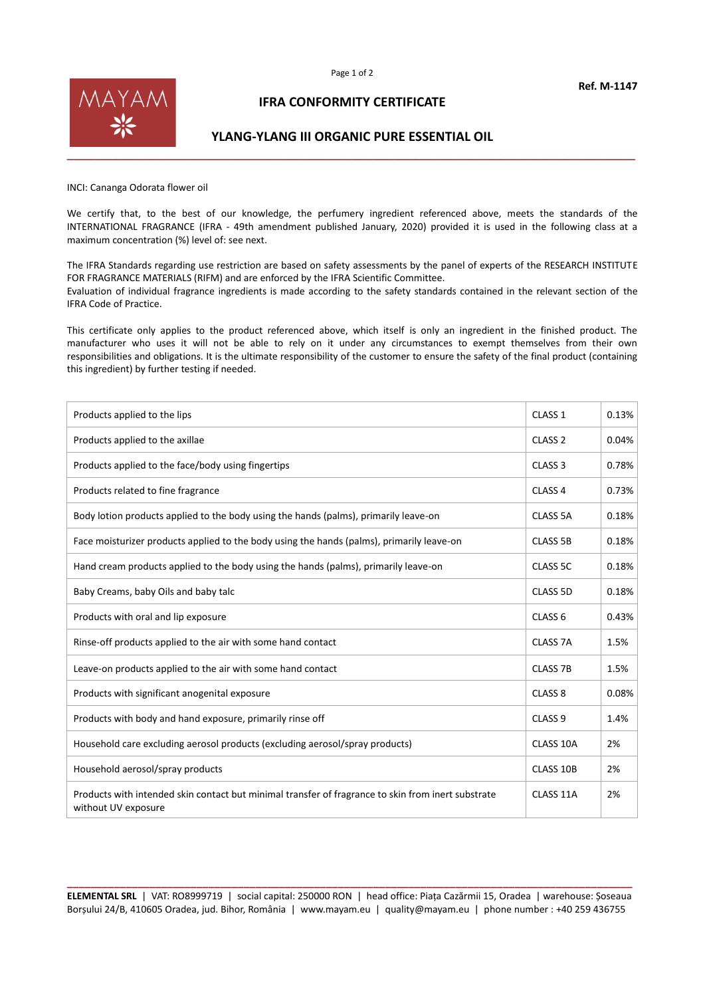

## **IFRA CONFORMITY CERTIFICATE**

## **YLANG-YLANG III ORGANIC PURE ESSENTIAL OIL**

INCI: Cananga Odorata flower oil

We certify that, to the best of our knowledge, the perfumery ingredient referenced above, meets the standards of the INTERNATIONAL FRAGRANCE (IFRA - 49th amendment published January, 2020) provided it is used in the following class at a maximum concentration (%) level of: see next.

The IFRA Standards regarding use restriction are based on safety assessments by the panel of experts of the RESEARCH INSTITUTE FOR FRAGRANCE MATERIALS (RIFM) and are enforced by the IFRA Scientific Committee. Evaluation of individual fragrance ingredients is made according to the safety standards contained in the relevant section of the IFRA Code of Practice.

This certificate only applies to the product referenced above, which itself is only an ingredient in the finished product. The manufacturer who uses it will not be able to rely on it under any circumstances to exempt themselves from their own responsibilities and obligations. It is the ultimate responsibility of the customer to ensure the safety of the final product (containing this ingredient) by further testing if needed.

| Products applied to the lips                                                                                              | CLASS <sub>1</sub> | 0.13% |
|---------------------------------------------------------------------------------------------------------------------------|--------------------|-------|
| Products applied to the axillae                                                                                           | CLASS <sub>2</sub> | 0.04% |
| Products applied to the face/body using fingertips                                                                        | CLASS <sub>3</sub> | 0.78% |
| Products related to fine fragrance                                                                                        | CLASS <sub>4</sub> | 0.73% |
| Body lotion products applied to the body using the hands (palms), primarily leave-on                                      | <b>CLASS 5A</b>    | 0.18% |
| Face moisturizer products applied to the body using the hands (palms), primarily leave-on                                 | <b>CLASS 5B</b>    | 0.18% |
| Hand cream products applied to the body using the hands (palms), primarily leave-on                                       | CLASS 5C           | 0.18% |
| Baby Creams, baby Oils and baby talc                                                                                      | CLASS 5D           | 0.18% |
| Products with oral and lip exposure                                                                                       | CLASS <sub>6</sub> | 0.43% |
| Rinse-off products applied to the air with some hand contact                                                              | <b>CLASS 7A</b>    | 1.5%  |
| Leave-on products applied to the air with some hand contact                                                               | <b>CLASS 7B</b>    | 1.5%  |
| Products with significant anogenital exposure                                                                             | CLASS <sub>8</sub> | 0.08% |
| Products with body and hand exposure, primarily rinse off                                                                 | CLASS <sub>9</sub> | 1.4%  |
| Household care excluding aerosol products (excluding aerosol/spray products)                                              | CLASS 10A          | 2%    |
| Household aerosol/spray products                                                                                          | CLASS 10B          | 2%    |
| Products with intended skin contact but minimal transfer of fragrance to skin from inert substrate<br>without UV exposure | CLASS 11A          | 2%    |

**\_\_\_\_\_\_\_\_\_\_\_\_\_\_\_\_\_\_\_\_\_\_\_\_\_\_\_\_\_\_\_\_\_\_\_\_\_\_\_\_\_\_\_\_\_\_\_\_\_\_\_\_\_\_\_\_\_\_\_\_\_\_\_\_\_\_\_\_\_\_\_\_\_\_\_\_\_\_\_\_\_\_\_\_\_\_\_\_\_\_\_\_\_\_\_\_ ELEMENTAL SRL** | VAT: RO8999719 | social capital: 250000 RON | head office: Piața Cazărmii 15, Oradea | warehouse: Șoseaua Borșului 24/B, 410605 Oradea, jud. Bihor, România | www.mayam.eu | quality@mayam.eu | phone number : +40 259 436755